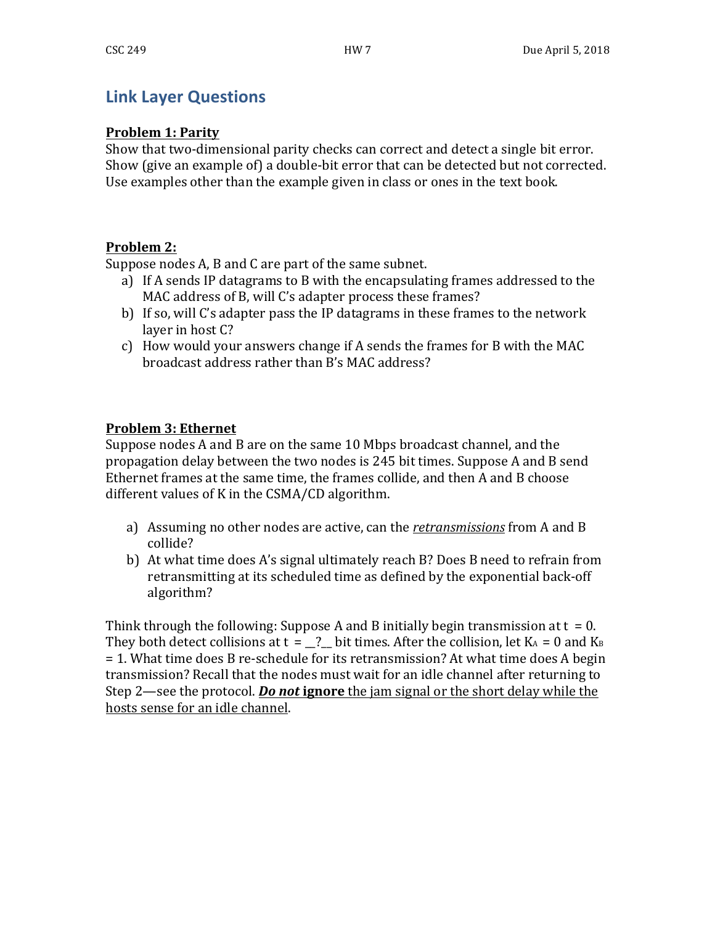# **Link Layer Questions**

## **Problem 1: Parity**

Show that two-dimensional parity checks can correct and detect a single bit error. Show (give an example of) a double-bit error that can be detected but not corrected. Use examples other than the example given in class or ones in the text book.

## **Problem 2:**

Suppose nodes A, B and C are part of the same subnet.

- a) If A sends IP datagrams to B with the encapsulating frames addressed to the MAC address of B, will C's adapter process these frames?
- b) If so, will C's adapter pass the IP datagrams in these frames to the network layer in host C?
- c) How would your answers change if A sends the frames for B with the MAC broadcast address rather than B's MAC address?

## **Problem 3: Ethernet**

Suppose nodes A and B are on the same 10 Mbps broadcast channel, and the propagation delay between the two nodes is 245 bit times. Suppose A and B send Ethernet frames at the same time, the frames collide, and then A and B choose different values of K in the CSMA/CD algorithm.

- a) Assuming no other nodes are active, can the *retransmissions* from A and B collide?
- b) At what time does A's signal ultimately reach B? Does B need to refrain from retransmitting at its scheduled time as defined by the exponential back-off algorithm?

Think through the following: Suppose A and B initially begin transmission at  $t = 0$ . They both detect collisions at  $t = 2$  bit times. After the collision, let KA = 0 and KB = 1. What time does B re-schedule for its retransmission? At what time does A begin transmission? Recall that the nodes must wait for an idle channel after returning to Step 2—see the protocol. **Do not ignore** the jam signal or the short delay while the hosts sense for an idle channel.